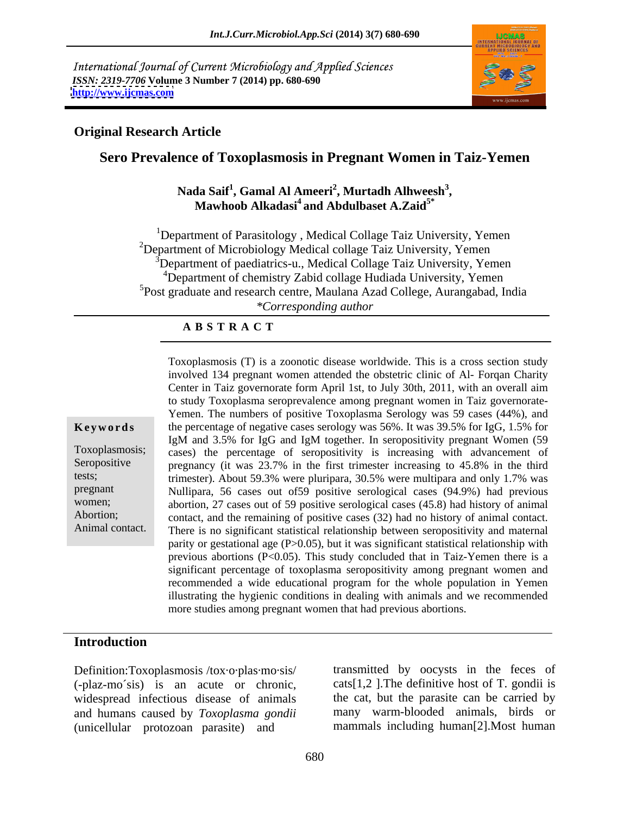International Journal of Current Microbiology and Applied Sciences *ISSN: 2319-7706* **Volume 3 Number 7 (2014) pp. 680-690 <http://www.ijcmas.com>**



#### **Original Research Article**

### **Sero Prevalence of Toxoplasmosis in Pregnant Women in Taiz-Yemen**

#### **Nada Saif<sup>1</sup> , Gamal Al Ameeri<sup>2</sup> , Murtadh Alhweesh<sup>3</sup>** da Saif<sup>1</sup>, Gamal Al Ameeri<sup>2</sup>, Murtadh Alhweesh<sup>3</sup>,<br>Mawhoob Alkadasi<sup>4</sup> and Abdulbaset A.Zaid<sup>5\*</sup>

<sup>1</sup>Department of Parasitology, Medical Collage Taiz University, Yemen <sup>2</sup>Department of Microbiology Medical collage Taiz University, Yemen <sup>3</sup>Department of paediatrics-u., Medical Collage Taiz University, Yemen <sup>4</sup>Department of chemistry Zabid collage Hudiada University, Yemen 5Post graduate and research centre, Maulana Azad College, Aurangabad, India *\*Corresponding author* 

#### **A B S T R A C T**

**Ke ywo rds** the percentage of negative cases serology was 56%. It was 39.5% for IgG, 1.5% for Toxoplasmosis; cases) the percentage of seropositivity is increasing with advancement of Seropositive pregnancy (it was 23.7% in the first trimester increasing to 45.8% in the third tests; trimester). About 59.3% were pluripara, 30.5% were multipara and only 1.7% was pregnant Nullipara, 56 cases out of59 positive serological cases (94.9%) had previous women; abortion, 27 cases out of 59 positive serological cases (45.8) had history of animal Abortion; contact, and the remaining of positive cases (32) had no history of animal contact. Animal contact. There is no significant statistical relationship between seropositivity and maternal Toxoplasmosis (T) is a zoonotic disease worldwide. This is a cross section study involved 134 pregnant women attended the obstetric clinic of Al- Forqan Charity Center in Taiz governorate form April 1st, to July 30th, 2011, with an overall aim to study Toxoplasma seroprevalence among pregnant women in Taiz governorate- Yemen. The numbers of positive Toxoplasma Serology was 59 cases (44%), and IgM and 3.5% for IgG and IgM together. In seropositivity pregnant Women (59 parity or gestational age  $(P>0.05)$ , but it was significant statistical relationship with previous abortions (P<0.05). This study concluded that in Taiz-Yemen there is a significant percentage of toxoplasma seropositivity among pregnant women and recommended a wide educational program for the whole population in Yemen illustrating the hygienic conditions in dealing with animals and we recommended more studies among pregnant women that had previous abortions.

#### **Introduction**

Definition:Toxoplasmosis /tox·o·plas·mo·sis/ (-plaz-mo´sis) is an acute or chronic, widespread infectious disease of animals and humans caused by *Toxoplasma gondii* (unicellular protozoan parasite) and

transmitted by oocysts in the feces of  $\text{cats}[1,2]$ . The definitive host of T. gondii is the cat, but the parasite can be carried by many warm-blooded animals, birds or mammals including human[2].Most human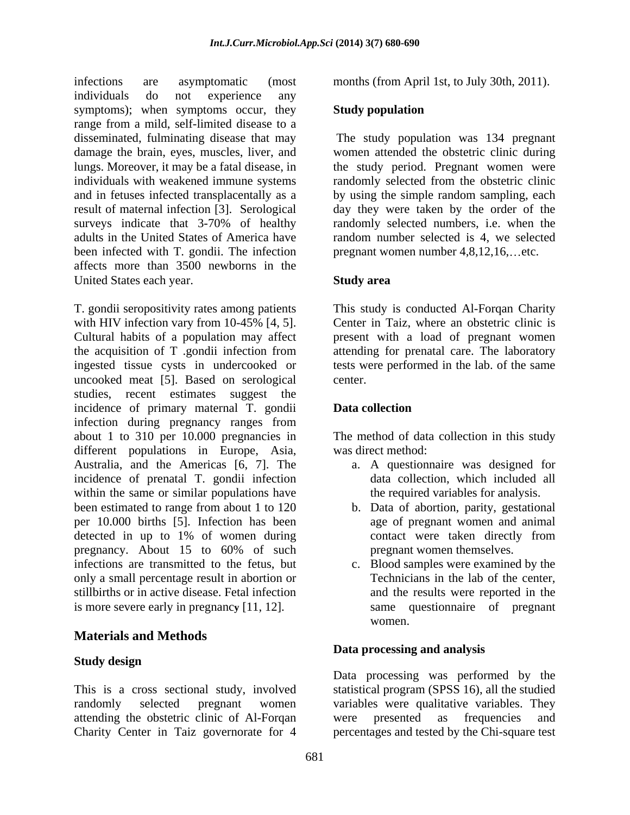infections are asymptomatic (most months (from April 1st, to July 30th, 2011). individuals do not experience any symptoms); when symptoms occur, they Study population range from a mild, self-limited disease to a disseminated, fulminating disease that may The study population was 134 pregnant damage the brain, eyes, muscles, liver, and women attended the obstetric clinic during lungs. Moreover, it may be a fatal disease, in the study period. Pregnant women were individuals with weakened immune systems randomly selected from the obstetric clinic and in fetuses infected transplacentally as a by using the simple random sampling, each result of maternal infection [3]. Serological day they were taken by the order of the surveys indicate that 3-70% of healthy adults in the United States of America have random number selected is 4, we selected been infected with T. gondii. The infection affects more than 3500 newborns in the United States each year. Study area

T. gondii seropositivity rates among patients This study is conducted Al-Forqan Charity with HIV infection vary from 10-45% [4, 5]. Center in Taiz, where an obstetric clinic is<br>Cultural habits of a population may affect present with a load of pregnant women the acquisition of T .gondii infection from ingested tissue cysts in undercooked or tests were performed in the lab. of the same uncooked meat [5]. Based on serological studies, recent estimates suggest the incidence of primary maternal T. gondii **Data collection** infection during pregnancy ranges from about 1 to 310 per 10.000 pregnancies in The method of data collection in this study different populations in Europe, Asia, Australia, and the Americas [6, 7]. The incidence of prenatal T. gondii infection within the same or similar populations have been estimated to range from about 1 to 120 per 10.000 births [5]. Infection has been detected in up to 1% of women during contact were taken directly from pregnancy. About 15 to 60% of such pregnant women themselves. infections are transmitted to the fetus, but c. Blood samples were examined by the only a small percentage result in abortion or stillbirths or in active disease. Fetal infection is more severe early in pregnanc**y** [11, 12].

### **Materials and Methods**

### **Study design**

attending the obstetric clinic of Al-Forqan

### **Study population**

randomly selected numbers, i.e. when the pregnant women number  $4,8,12,16,\ldots$ etc.

### **Study area**

Center in Taiz, where an obstetric clinic is present with a load of pregnant women attending for prenatal care. The laboratory center.

### **Data collection**

was direct method:

- a. A questionnaire was designed for data collection, which included all the required variables for analysis.
- b. Data of abortion, parity, gestational age of pregnant women and animal contact were taken directly from pregnant women themselves.
- Technicians in the lab of the center, and the results were reported in the same questionnaire of pregnant women.

#### **Data processing and analysis**

This is a cross sectional study, involved statistical program (SPSS 16), all the studied randomly selected pregnant women variables were qualitative variables. They Charity Center in Taiz governorate for 4 percentages and tested by the Chi-square test Data processing was performed by the were presented as frequencies and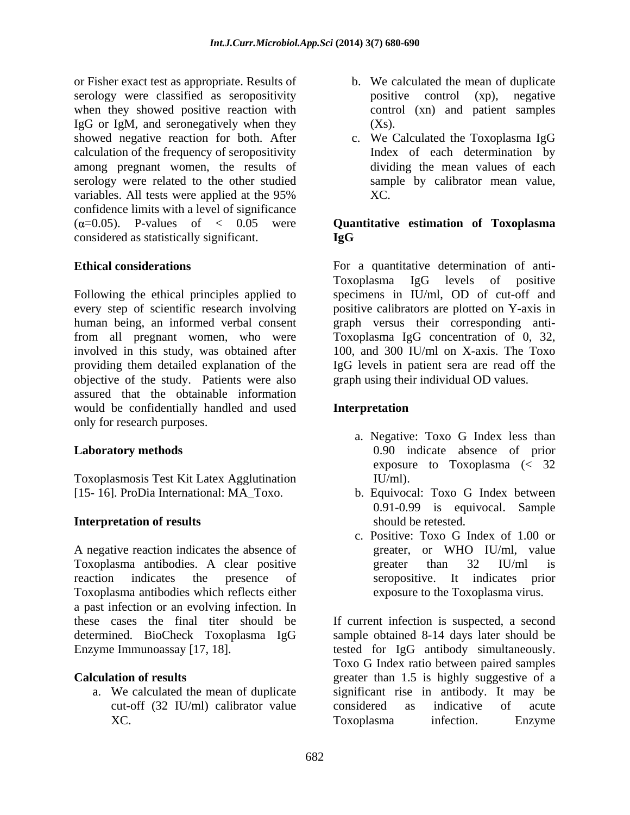or Fisher exact test as appropriate. Results of serology were classified as seropositivity bositive control (xp), negative when they showed positive reaction with IgG or IgM, and seronegatively when they showed negative reaction for both. After <br>c. We Calculated the Toxoplasma IgG calculation of the frequency of seropositivity among pregnant women, the results of serology were related to the other studied variables. All tests were applied at the 95% XC. confidence limits with a level of significance  $(\alpha=0.05)$ . P-values of  $\langle 0.05 \rangle$  were **Quantitative estimation of Toxoplasma** considered as statistically significant.

Following the ethical principles applied to specimens in IU/ml, OD of cut-off and every step of scientific research involving positive calibrators are plotted on Y-axis in human being, an informed verbal consent from all pregnant women, who were Toxoplasma IgG concentration of 0, 32, involved in this study, was obtained after providing them detailed explanation of the IgG levels in patient sera are read off the objective of the study. Patients were also assured that the obtainable information would be confidentially handled and used **Interpretation** only for research purposes.

Toxoplasmosis Test Kit Latex Agglutination [15- 16]. ProDia International: MA\_Toxo.

### **Interpretation of results**

A negative reaction indicates the absence of greater, or WHO IU/ml, value Toxoplasma antibodies. A clear positive greater than 32 IU/ml is reaction indicates the presence of seropositive. It indicates prior Toxoplasma antibodies which reflects either a past infection or an evolving infection. In these cases the final titer should be If current infection is suspected, a second determined. BioCheck Toxoplasma IgG sample obtained 8-14 days later should be

- b. We calculated the mean of duplicate positive control  $(xp)$ , control (xn) and patient samples  $(Xs)$ .
- c. We Calculated the Toxoplasma IgG Index of each determination by dividing the mean values of each sample by calibrator mean value, XC.

# **IgG**

**Ethical considerations** For a quantitative determination of anti- Toxoplasma IgG levels of positive graph versus their corresponding anti- 100, and 300 IU/ml on X-axis. The Toxo graph using their individual OD values.

### **Interpretation**

- **Laboratory methods** 0.90 indicate absence of prior a. Negative: Toxo G Index less than exposure to Toxoplasma (< 32 IU/ml).
	- b. Equivocal: Toxo G Index between 0.91-0.99 is equivocal. Sample should be retested.
	- c. Positive: Toxo G Index of 1.00 or greater, or WHO IU/ml, value greater than 32 IU/ml is exposure to the Toxoplasma virus.

Enzyme Immunoassay [17, 18]. tested for IgG antibody simultaneously. **Calculation of results** extending the secteur of a greater than 1.5 is highly suggestive of a a. We calculated the mean of duplicate significant rise in antibody. It may be cut-off (32 IU/ml) calibrator value considered as indicative of acute XC. Toxoplasma infection. Enzyme Toxo G Index ratio between paired samples considered as indicative of acute Toxoplasma infection. Enzyme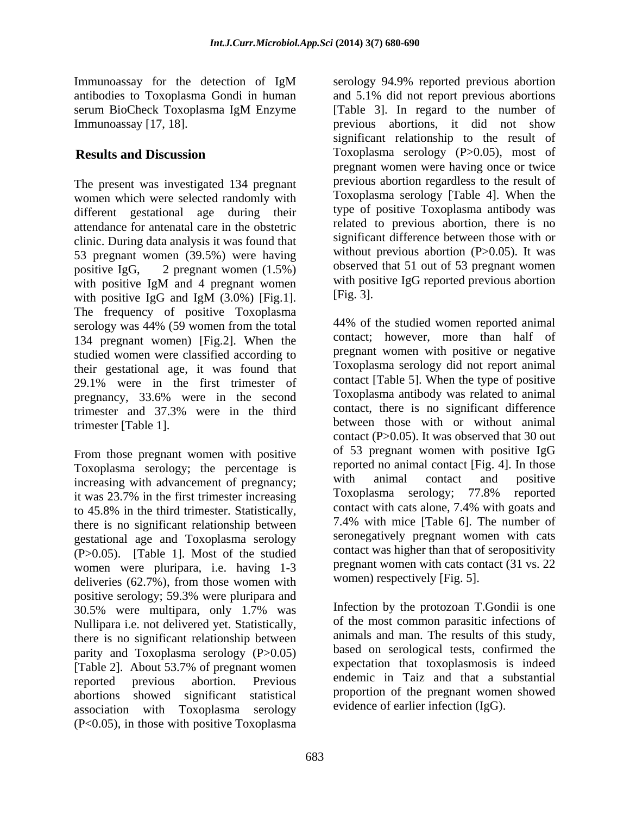Immunoassay for the detection of IgM

The present was investigated 134 pregnant women which were selected randomly with different gestational age during their attendance for antenatal care in the obstetric clinic. During data analysis it was found that 53 pregnant women (39.5%) were having positive IgG, 2 pregnant women  $(1.5\%)$  observed that 51 out of 53 pregnant women with positive IgM and 4 pregnant women with positive IgG reported previous abortion with positive IgG and IgM (3.0%) [Fig.1].  $[$   $[$   $]$   $[$   $]$   $[$   $]$   $[$   $]$   $[$   $]$   $[$   $]$   $[$   $]$   $[$   $]$   $[$   $]$   $[$   $]$   $[$   $]$   $[$   $]$   $[$   $]$   $[$   $]$   $[$   $]$   $[$   $]$   $[$   $]$   $[$   $]$   $[$   $]$   $[$   $]$   $[$   $]$   $[$   $]$ serology was 44% (59 women from the total 134 pregnant women) [Fig.2]. When the studied women were classified according to their gestational age, it was found that 29.1% were in the first trimester of pregnancy, 33.6% were in the second trimester and 37.3% were in the third trimester [Table 1]. between those with or without animal

From those pregnant women with positive Toxoplasma serology; the percentage is reported no animal contact [Fig. 4]. In those<br>increasing with advancement of pregnancy: with animal contact and positive increasing with advancement of pregnancy;<br>it was 23.7% in the first trimester increasing Toxoplasma serology; 77.8% reported it was 23.7% in the first trimester increasing to 45.8% in the third trimester. Statistically, there is no significant relationship between gestational age and Toxoplasma serology (P>0.05). [Table 1]. Most of the studied women were pluripara, i.e. having 1-3 deliveries (62.7%), from those women with positive serology; 59.3% were pluripara and 30.5% were multipara, only 1.7% was Nullipara i.e. not delivered yet. Statistically, there is no significant relationship between parity and Toxoplasma serology (P>0.05) [Table 2]. About 53.7% of pregnant women reported previous abortion. Previous endemic in Taiz and that a substantial abortions showed significant statistical association with Toxoplasma serology (P<0.05), in those with positive Toxoplasma

antibodies to Toxoplasma Gondi in human and 5.1% did not report previous abortions serum BioCheck Toxoplasma IgM Enzyme Immunoassay [17, 18]. previous abortions, it did not show **Results and Discussion** Toxoplasma serology (P>0.05), most of serology 94.9% reported previous abortion [Table 3]. In regard to the number of significant relationship to the result of pregnant women were having once or twice previous abortion regardless to the result of Toxoplasma serology [Table 4]. When the type of positive Toxoplasma antibody was related to previous abortion, there is no significant difference between those with or without previous abortion  $(P>0.05)$ . It was with positive IgG reported previous abortion [Fig. 3].

> 44% of the studied women reported animal contact; however, more than half of pregnant women with positive or negative Toxoplasma serology did not report animal contact [Table 5]. When the type of positive Toxoplasma antibody was related to animal contact, there is no significant difference contact (P>0.05). It was observed that 30 out of 53 pregnant women with positive IgG reported no animal contact [Fig. 4]. In those with animal contact and positive Toxoplasma serology; 77.8% reported contact with cats alone, 7.4% with goats and 7.4% with mice [Table 6]. The number of seronegatively pregnant women with cats contact was higher than that of seropositivity pregnant women with cats contact (31 vs. 22 women) respectively [Fig. 5].

Infection by the protozoan T.Gondii is one of the most common parasitic infections of animals and man. The results of this study, based on serological tests, confirmed the expectation that toxoplasmosis is indeed proportion of the pregnant women showed evidence of earlier infection (IgG).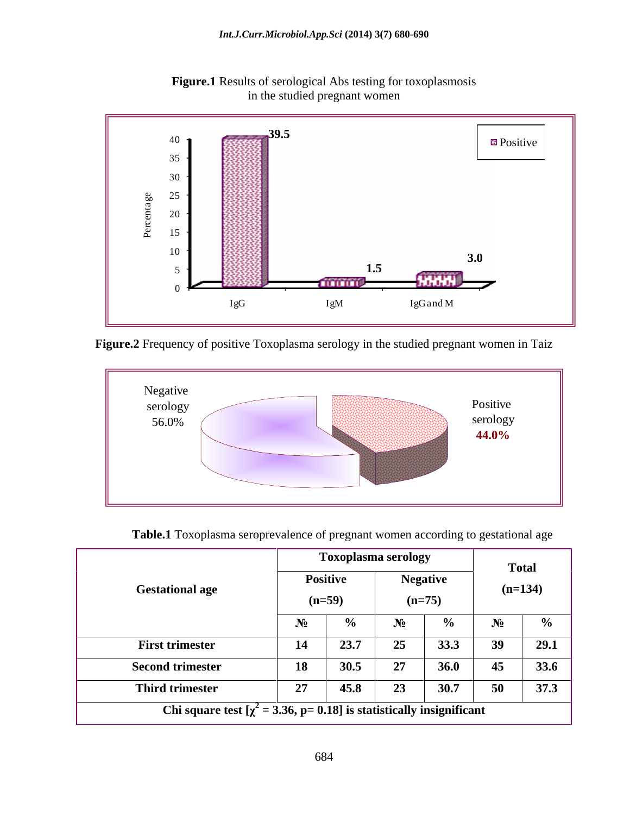

**Figure.1** Results of serological Abs testing for toxoplasmosis in the studied pregnant women

**Figure.2** Frequency of positive Toxoplasma serology in the studied pregnant women in Taiz



| Table.1 | Toxoplasma seroprevalence of pregnant women according to gestational age |  |
|---------|--------------------------------------------------------------------------|--|

|                                                                            |               | <b>Toxoplasma serology</b> |                            |              | <b>Total</b> |  |
|----------------------------------------------------------------------------|---------------|----------------------------|----------------------------|--------------|--------------|--|
|                                                                            | Positive      |                            | <b>Negative</b>            |              | $(n=134)$    |  |
| <b>Gestational age</b>                                                     | $(n=59)$      |                            | $(n=75)$                   |              |              |  |
|                                                                            | $\sim$ $\sim$ |                            |                            |              |              |  |
| <b>First trimester</b>                                                     | 23.7<br>14    |                            | __ _ _ _ _ _ _ _ _<br>33.3 |              | 29.1         |  |
| <b>Second trimester</b>                                                    | 18 30.5       |                            | <b>36.0</b>                | 45           | 33.6         |  |
| <b>Third trimester</b>                                                     | 27<br>45.8    | $\overline{2}$             | 30.7                       | 50<br>$\cup$ | 37.3         |  |
| Chi square test $[\chi^2 = 3.36, p = 0.18]$ is statistically insignificant |               |                            |                            |              |              |  |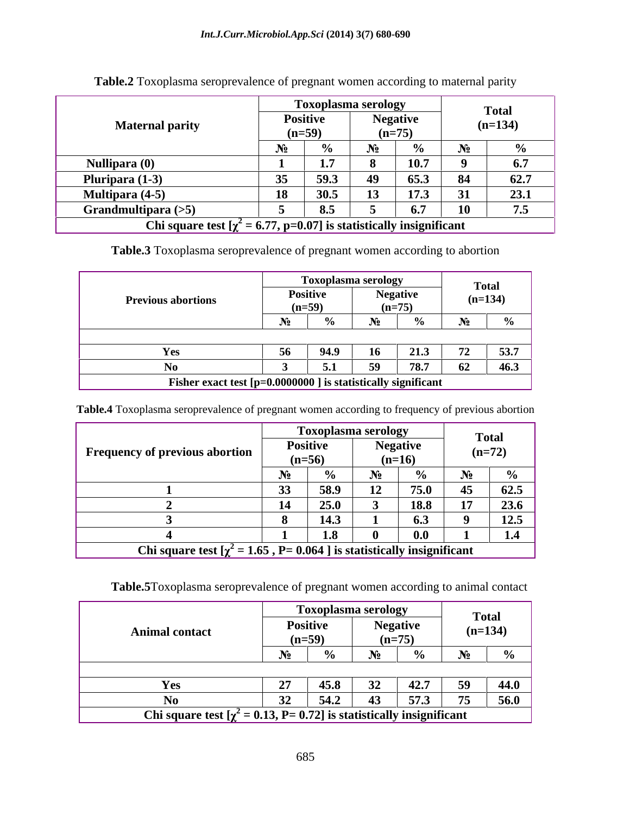| <b>Maternal parity</b> | <b>Toxoplasma serology</b><br><b>Positive</b><br><b>Negative</b><br>$(n=59)$<br>$(n=7)$ | Total<br>$(n=134)$ |  |  |  |
|------------------------|-----------------------------------------------------------------------------------------|--------------------|--|--|--|
| Nullipara (0)          | 1 A M                                                                                   |                    |  |  |  |
| Pluripara (1-3)        | - 65.3<br>- 59.3                                                                        | 627                |  |  |  |
| <b>Multipara (4-5)</b> | 30.S                                                                                    | 23.1               |  |  |  |
| Grandmultipara $(>5)$  | $\times$ 5                                                                              |                    |  |  |  |
|                        | <b>Chi</b> square test $[\chi^2 = 6.77, p=0.07]$ is statistically insignificant         |                    |  |  |  |

**Table.2** Toxoplasma seroprevalence of pregnant women according to maternal parity

**Table.3** Toxoplasma seroprevalence of pregnant women according to abortion

**Table.4** Toxoplasma seroprevalence of pregnant women according to frequency of previous abortion

|                                                                             |          |             | <b>Toxoplasma serology</b> |             |                          |                                                 |
|-----------------------------------------------------------------------------|----------|-------------|----------------------------|-------------|--------------------------|-------------------------------------------------|
| Frequency of previous abortion                                              | Positive |             |                            |             | <b>Total</b><br>$(n=72)$ |                                                 |
|                                                                             | $(n=56)$ |             |                            | $(n=16)$    |                          |                                                 |
|                                                                             |          |             |                            |             |                          |                                                 |
|                                                                             |          |             |                            |             |                          | $\begin{array}{ccc} \cdot & 1 & 62 \end{array}$ |
|                                                                             | -14      | <b>25.0</b> |                            | <b>18.8</b> |                          | $\mathbf{A}$                                    |
|                                                                             |          |             |                            |             |                          |                                                 |
|                                                                             |          | 1.8         |                            |             |                          | $\blacksquare$                                  |
| Chi square test $[\chi^2 = 1.65, P = 0.064]$ is statistically insignificant |          |             |                            |             |                          |                                                 |

**Table.5**Toxoplasma seroprevalence of pregnant women according to animal contact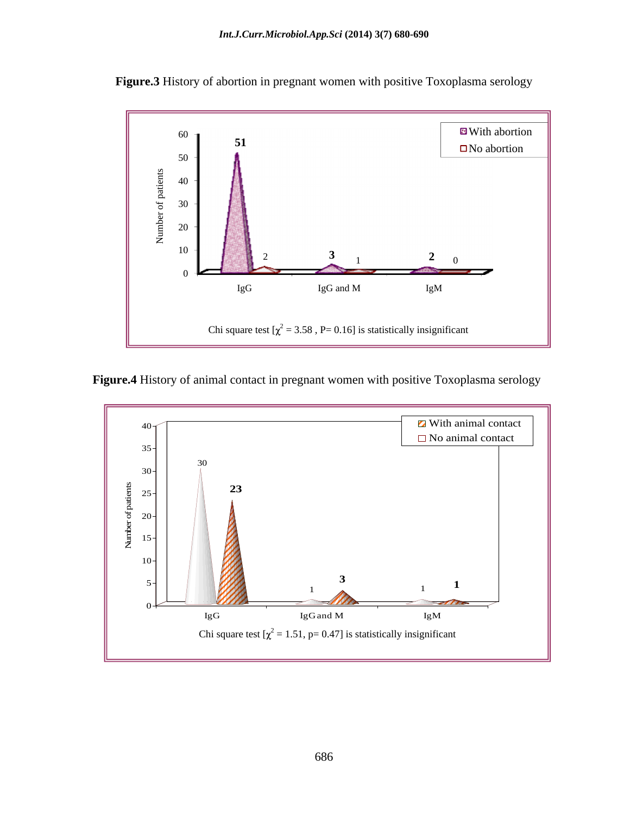

**Figure.3** History of abortion in pregnant women with positive Toxoplasma serology

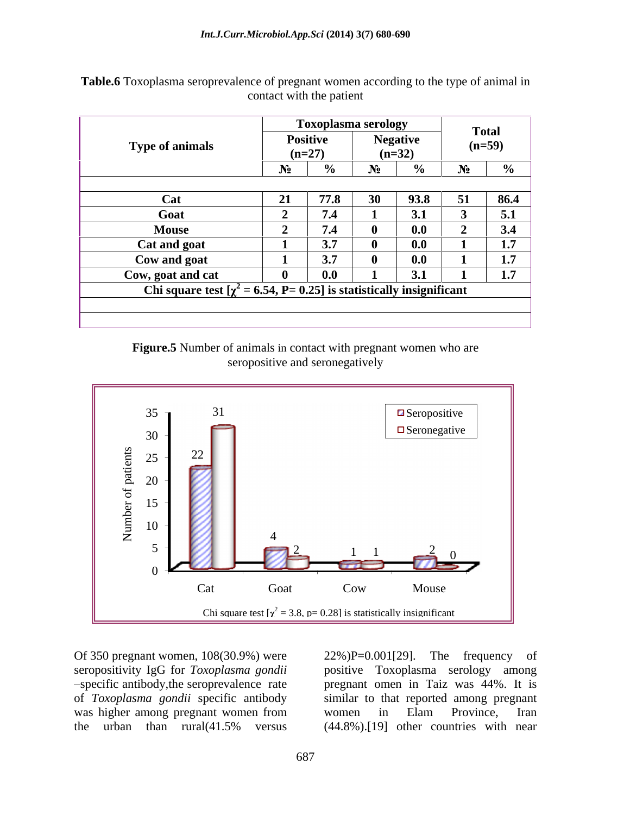|                                                                            |          | <b>Toxoplasma serology</b> |                | <b>Total</b> |                      |
|----------------------------------------------------------------------------|----------|----------------------------|----------------|--------------|----------------------|
| Type of animals                                                            | Positive |                            | <b>Negativ</b> | $(n=59)$     |                      |
|                                                                            | $(n=27)$ |                            | $(n=32)$       | $\mathbf{a}$ |                      |
|                                                                            |          |                            | $\mathbf{0}$   |              |                      |
|                                                                            |          |                            |                |              |                      |
|                                                                            | 77.8     |                            | 93.8           |              | 86.4                 |
| Goat                                                                       | 7.4      |                            | 21<br>◡◦       |              |                      |
| <b>Mouse</b>                                                               | 7.4      |                            | 0.0            |              | $\mathcal{L}$<br>3.4 |
| Cat and goat                                                               | 3.7      |                            | 0.0            |              | 1.7                  |
| Cow and goat                                                               | 3.7      |                            | 0.0            |              | 1.7                  |
| Cow, goat and cat                                                          | $0.0$    |                            | 31             |              | 1.7                  |
| Chi square test $[\chi^2 = 6.54, P = 0.25]$ is statistically insignificant |          |                            |                |              |                      |
|                                                                            |          |                            |                |              |                      |
|                                                                            |          |                            |                |              |                      |

**Table.6** Toxoplasma seroprevalence of pregnant women according to the type of animal in contact with the patient

> **Figure.5** Number of animals in contact with pregnant women who are seropositive and seronegatively



Of 350 pregnant women, 108(30.9%) were 22%)P=0.001[29]. The frequency of seropositivity IgG for *Toxoplasma gondii* positive Toxoplasma serology among of *Toxoplasma gondii* specific antibody was higher among pregnant women from women in Elam Province, Iran

specific antibody,the seroprevalence rate pregnant omen in Taiz was 44%. It is the urban than rural(41.5% versus (44.8%).[19] other countries with near 22%)P=0.001[29]. The frequency of similar to that reported among pregnant women in Elam Province, Iran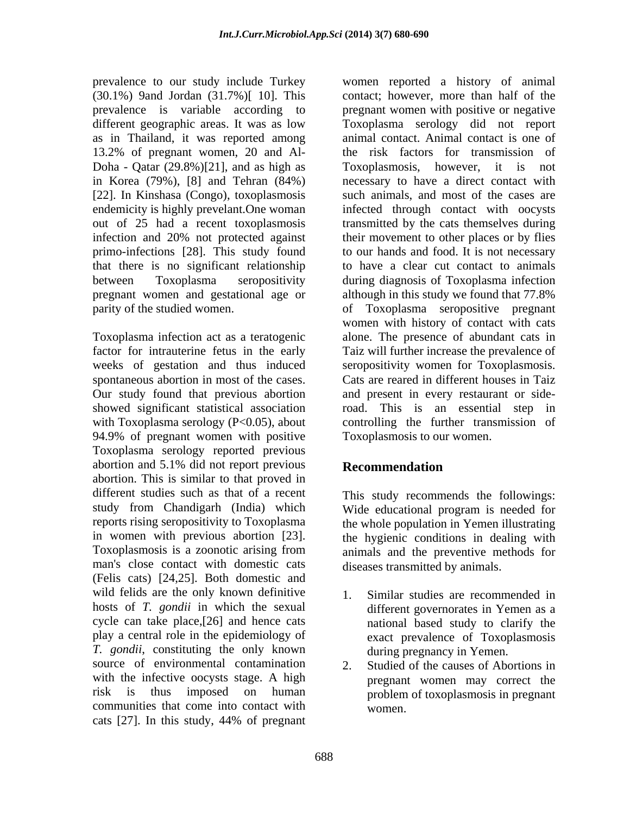(30.1%) 9and Jordan (31.7%)[ 10]. This as in Thailand, it was reported among 13.2% of pregnant women, 20 and Al- Doha - Qatar (29.8%)[21], and as high as [22]. In Kinshasa (Congo), toxoplasmosis primo-infections [28]. This study found that there is no significant relationship

Toxoplasma infection act as a teratogenic Our study found that previous abortion with Toxoplasma serology  $(P<0.05)$ , about 94.9% of pregnant women with positive Toxoplasma serology reported previous abortion and 5.1% did not report previous **Recommendation** abortion. This is similar to that proved in different studies such as that of a recent This study recommends the followings: study from Chandigarh (India) which Wide educational program is needed for reports rising seropositivity to Toxoplasma the whole population in Yemen illustrating in women with previous abortion [23]. <br>Toxoplasmosis is a zoonotic arising from animals and the preventive methods for man's close contact with domestic cats (Felis cats) [24,25]. Both domestic and wild felids are the only known definitive 1 hosts of *T. gondii* in which the sexual cycle can take place,[26] and hence cats play a central role in the epidemiology of *T. gondii*, constituting the only known source of environmental contamination 2. with the infective oocysts stage. A high risk is thus imposed on human problem of toxoplasmosis in pregnant communities that come into contact with cats [27]. In this study, 44% of pregnant

prevalence to our study include Turkey women reported a history of animal prevalence is variable according to pregnant women with positive or negative different geographic areas. It was as low Toxoplasma serology did not report in Korea (79%), [8] and Tehran (84%) necessary to have a direct contact with endemicity is highly prevelant. One woman infected through contact with oocysts out of 25 had a recent toxoplasmosis transmitted by the cats themselves during infection and 20% not protected against their movement to other places or by flies between Toxoplasma seropositivity during diagnosis of Toxoplasma infection pregnant women and gestational age or although in this study we found that 77.8% parity of the studied women. of Toxoplasma seropositive pregnant factor for intrauterine fetus in the early Taiz will further increase the prevalence of weeks of gestation and thus induced seropositivity women for Toxoplasmosis. spontaneous abortion in most of the cases. Cats are reared in different houses in Taiz showed significant statistical association road. This is an essential step in contact; however, more than half of the animal contact. Animal contact is one of the risk factors for transmission of Toxoplasmosis, however, it is not such animals, and most of the cases are to our hands and food. It is not necessary to have a clear cut contact to animals women with history of contact with cats alone. The presence of abundant cats in and present in every restaurant or sidecontrolling the further transmission of Toxoplasmosis to our women.

## **Recommendation**

the hygienic conditions in dealing with animals and the preventive methods for diseases transmitted by animals.

- Similar studies are recommended in different governorates in Yemen as a national based study to clarify the exact prevalence of Toxoplasmosis during pregnancy in Yemen.
- Studied of the causes of Abortions in pregnant women may correct the problem of toxoplasmosis in pregnant women.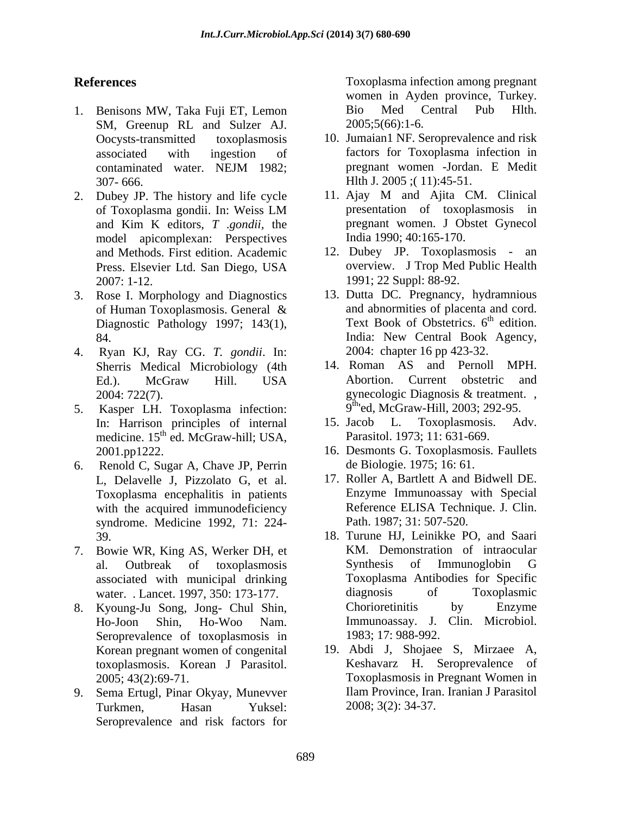- 1. Benisons MW, Taka Fuji ET, Lemon SM, Greenup RL and Sulzer AJ.
- and Kim K editors, *T* .*gondii,* the model apicomplexan: Perspectives and Methods. First edition. Academic
- 3. Rose I. Morphology and Diagnostics Diagnostic Pathology 1997; 143(1),
- 4. Ryan KJ, Ray CG. *T. gondii*. In: Sherris Medical Microbiology (4th 14. Roman AS and Pernoll 1<br>Ed.) McGraw Hill USA Abortion. Current obstetric
- 5. Kasper LH. Toxoplasma infection: medicine. 15<sup>th</sup> ed. McGraw-hill; USA,
- 6. Renold C, Sugar A, Chave JP, Perrin Toxoplasma encephalitis in patients with the acquired immunodeficiency syndrome. Medicine 1992, 71: 224-
- 7. Bowie WR, King AS, Werker DH, et associated with municipal drinking
- Seroprevalence of toxoplasmosis in Korean pregnant women of congenital toxoplasmosis. Korean J Parasitol.
- 9. Sema Ertugl, Pinar Okyay, Munevver Seroprevalence and risk factors for

**References** Toxoplasma infection among pregnant women in Ayden province, Turkey. Bio Med Central Pub Hlth. 2005;5(66):1-6.

- Oocysts-transmitted toxoplasmosis 10. Jumaian1 NF. Seroprevalence and risk associated with ingestion of factors for Toxoplasma infection in contaminated water. NEJM 1982; 307- 666. Hlth J. 2005 ;( 11):45-51. pregnant women -Jordan. E Medit
- 2. Dubey JP. The history and life cycle 11. Ajay M and Ajita CM. Clinical of Toxoplasma gondii. In: Weiss LM 11. Ajay M and Ajita CM. Clinical presentation of toxoplasmosis in pregnant women. J Obstet Gynecol India 1990; 40:165-170.
	- Press. Elsevier Ltd. San Diego, USA overview. J Trop Med Public Health 2007: 1-12. 1991; 22 Suppl: 88-92. 12. Dubey JP. Toxoplasmosis - an overview. J Trop Med Public Health
	- of Human Toxoplasmosis. General  $\mathcal X$  and abnormities of placenta and cord. 84. India: New Central Book Agency, 13. Dutta DC. Pregnancy, hydramnious and abnormities of placenta and cord. Text Book of Obstetrics.  $6<sup>th</sup>$  edition.  $th$  odition edition. 2004: chapter 16 pp 423-32.
	- Ed.). McGraw Hill. USA 2004: 722(7). gynecologic Diagnosis & treatment., 14. Roman AS and Pernoll MPH. Abortion. Current obstetric and gynecologic Diagnosis & treatment. , 9<sup>th</sup>'ed, McGraw-Hill, 2003; 292-95.
	- In: Harrison principles of internal 15. Jacob L. Toxoplasmosis. Adv. th ed. McGraw-hill; USA, Parasitol. 1973; 11: 631-669. 15. Jacob L. Toxoplasmosis. Adv.
	- 2001.pp1222. 16. Desmonts G. Toxoplasmosis. Faullets de Biologie. 1975; 16: 61.
	- L, Delavelle J, Pizzolato G, et al. 17. Roller A, Bartlett A and Bidwell DE. Enzyme Immunoassay with Special Reference ELISA Technique. J. Clin. Path. 1987; 31: 507-520.
- 39. 18. Turune HJ, Leinikke PO, and Saari al. Outbreak of toxoplasmosis water. . Lancet. 1997, 350: 173-177. diagnosis of Toxoplasmic 8. Kyoung-Ju Song, Jong- Chul Shin, Ho-Joon Shin, Ho-Woo Nam. Immunoassay. J. Clin. Microbiol. KM. Demonstration of intraocular Synthesis of Immunoglobin G Toxoplasma Antibodies for Specific diagnosis of Toxoplasmic Chorioretinitis by Enzyme 1983; 17: 988-992.
	- 2005; 43(2):69-71. Toxoplasmosis in Pregnant Women in Turkmen, Hasan Yuksel: 2008; 3(2): 34-37. 19. Abdi J, Shojaee S, Mirzaee A, Keshavarz H. Seroprevalence of Ilam Province, Iran. Iranian J Parasitol 2008; 3(2): 34-37.